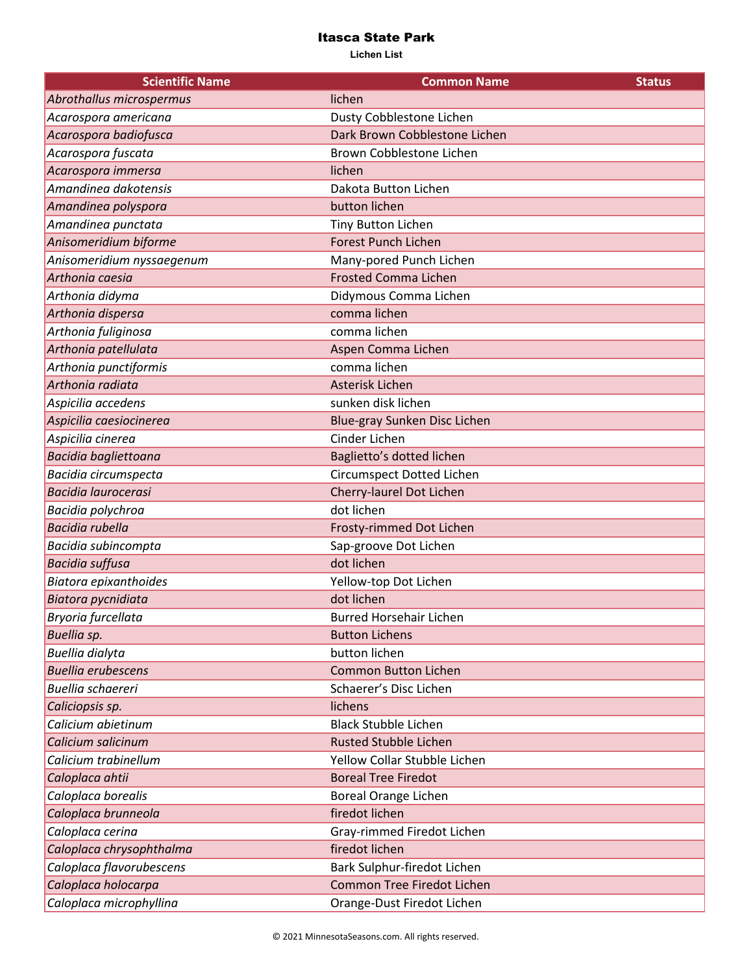| <b>Scientific Name</b>     | <b>Common Name</b>             | <b>Status</b> |
|----------------------------|--------------------------------|---------------|
| Abrothallus microspermus   | lichen                         |               |
| Acarospora americana       | Dusty Cobblestone Lichen       |               |
| Acarospora badiofusca      | Dark Brown Cobblestone Lichen  |               |
| Acarospora fuscata         | Brown Cobblestone Lichen       |               |
| Acarospora immersa         | lichen                         |               |
| Amandinea dakotensis       | Dakota Button Lichen           |               |
| Amandinea polyspora        | button lichen                  |               |
| Amandinea punctata         | <b>Tiny Button Lichen</b>      |               |
| Anisomeridium biforme      | <b>Forest Punch Lichen</b>     |               |
| Anisomeridium nyssaegenum  | Many-pored Punch Lichen        |               |
| Arthonia caesia            | <b>Frosted Comma Lichen</b>    |               |
| Arthonia didyma            | Didymous Comma Lichen          |               |
| Arthonia dispersa          | comma lichen                   |               |
| Arthonia fuliginosa        | comma lichen                   |               |
| Arthonia patellulata       | Aspen Comma Lichen             |               |
| Arthonia punctiformis      | comma lichen                   |               |
| Arthonia radiata           | Asterisk Lichen                |               |
| Aspicilia accedens         | sunken disk lichen             |               |
| Aspicilia caesiocinerea    | Blue-gray Sunken Disc Lichen   |               |
| Aspicilia cinerea          | Cinder Lichen                  |               |
| Bacidia bagliettoana       | Baglietto's dotted lichen      |               |
| Bacidia circumspecta       | Circumspect Dotted Lichen      |               |
| <b>Bacidia laurocerasi</b> | Cherry-laurel Dot Lichen       |               |
| Bacidia polychroa          | dot lichen                     |               |
| <b>Bacidia rubella</b>     | Frosty-rimmed Dot Lichen       |               |
| Bacidia subincompta        | Sap-groove Dot Lichen          |               |
| <b>Bacidia suffusa</b>     | dot lichen                     |               |
| Biatora epixanthoides      | Yellow-top Dot Lichen          |               |
| Biatora pycnidiata         | dot lichen                     |               |
| Bryoria furcellata         | <b>Burred Horsehair Lichen</b> |               |
| Buellia sp.                | <b>Button Lichens</b>          |               |
| <b>Buellia dialyta</b>     | button lichen                  |               |
| <b>Buellia erubescens</b>  | <b>Common Button Lichen</b>    |               |
| <b>Buellia schaereri</b>   | Schaerer's Disc Lichen         |               |
| Caliciopsis sp.            | lichens                        |               |
| Calicium abietinum         | <b>Black Stubble Lichen</b>    |               |
| Calicium salicinum         | <b>Rusted Stubble Lichen</b>   |               |
| Calicium trabinellum       | Yellow Collar Stubble Lichen   |               |
| Caloplaca ahtii            | <b>Boreal Tree Firedot</b>     |               |
| Caloplaca borealis         | <b>Boreal Orange Lichen</b>    |               |
| Caloplaca brunneola        | firedot lichen                 |               |
| Caloplaca cerina           | Gray-rimmed Firedot Lichen     |               |
| Caloplaca chrysophthalma   | firedot lichen                 |               |
| Caloplaca flavorubescens   | Bark Sulphur-firedot Lichen    |               |
| Caloplaca holocarpa        | Common Tree Firedot Lichen     |               |
| Caloplaca microphyllina    | Orange-Dust Firedot Lichen     |               |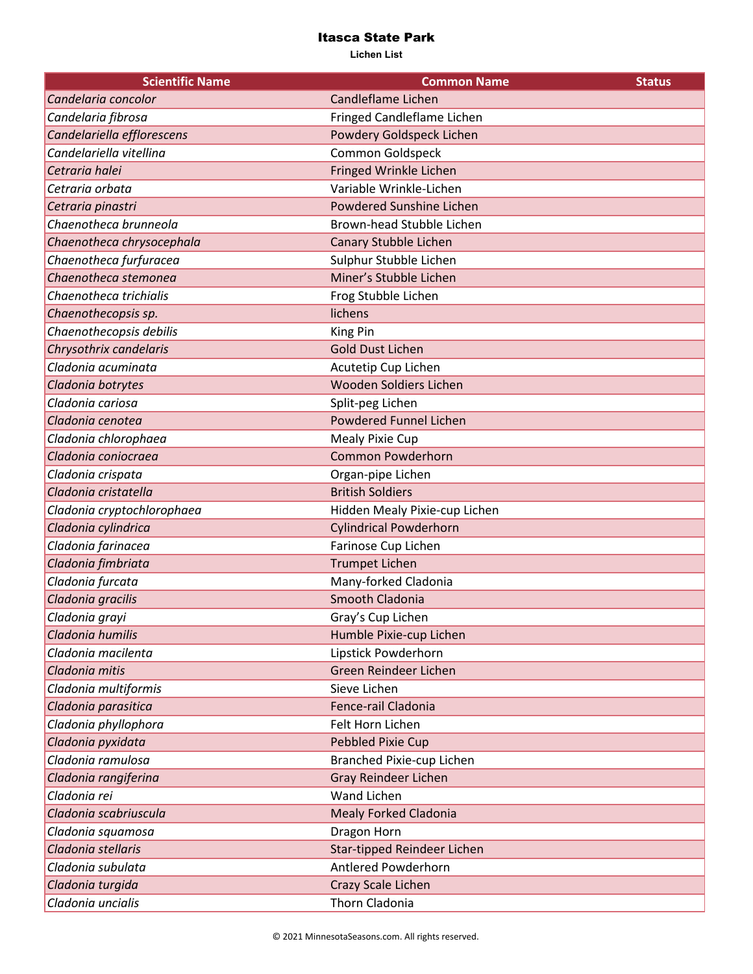| <b>Scientific Name</b>     | <b>Common Name</b>            | <b>Status</b> |
|----------------------------|-------------------------------|---------------|
| Candelaria concolor        | Candleflame Lichen            |               |
| Candelaria fibrosa         | Fringed Candleflame Lichen    |               |
| Candelariella efflorescens | Powdery Goldspeck Lichen      |               |
| Candelariella vitellina    | Common Goldspeck              |               |
| Cetraria halei             | Fringed Wrinkle Lichen        |               |
| Cetraria orbata            | Variable Wrinkle-Lichen       |               |
| Cetraria pinastri          | Powdered Sunshine Lichen      |               |
| Chaenotheca brunneola      | Brown-head Stubble Lichen     |               |
| Chaenotheca chrysocephala  | Canary Stubble Lichen         |               |
| Chaenotheca furfuracea     | Sulphur Stubble Lichen        |               |
| Chaenotheca stemonea       | Miner's Stubble Lichen        |               |
| Chaenotheca trichialis     | Frog Stubble Lichen           |               |
| Chaenothecopsis sp.        | lichens                       |               |
| Chaenothecopsis debilis    | King Pin                      |               |
| Chrysothrix candelaris     | <b>Gold Dust Lichen</b>       |               |
| Cladonia acuminata         | Acutetip Cup Lichen           |               |
| Cladonia botrytes          | Wooden Soldiers Lichen        |               |
| Cladonia cariosa           | Split-peg Lichen              |               |
| Cladonia cenotea           | <b>Powdered Funnel Lichen</b> |               |
| Cladonia chlorophaea       | <b>Mealy Pixie Cup</b>        |               |
| Cladonia coniocraea        | <b>Common Powderhorn</b>      |               |
| Cladonia crispata          | Organ-pipe Lichen             |               |
| Cladonia cristatella       | <b>British Soldiers</b>       |               |
| Cladonia cryptochlorophaea | Hidden Mealy Pixie-cup Lichen |               |
| Cladonia cylindrica        | <b>Cylindrical Powderhorn</b> |               |
| Cladonia farinacea         | Farinose Cup Lichen           |               |
| Cladonia fimbriata         | <b>Trumpet Lichen</b>         |               |
| Cladonia furcata           | Many-forked Cladonia          |               |
| Cladonia gracilis          | Smooth Cladonia               |               |
| Cladonia grayi             | Gray's Cup Lichen             |               |
| Cladonia humilis           | Humble Pixie-cup Lichen       |               |
| Cladonia macilenta         | Lipstick Powderhorn           |               |
| Cladonia mitis             | Green Reindeer Lichen         |               |
| Cladonia multiformis       | Sieve Lichen                  |               |
| Cladonia parasitica        | Fence-rail Cladonia           |               |
| Cladonia phyllophora       | Felt Horn Lichen              |               |
| Cladonia pyxidata          | <b>Pebbled Pixie Cup</b>      |               |
| Cladonia ramulosa          | Branched Pixie-cup Lichen     |               |
| Cladonia rangiferina       | <b>Gray Reindeer Lichen</b>   |               |
| Cladonia rei               | Wand Lichen                   |               |
| Cladonia scabriuscula      | <b>Mealy Forked Cladonia</b>  |               |
| Cladonia squamosa          | Dragon Horn                   |               |
| Cladonia stellaris         | Star-tipped Reindeer Lichen   |               |
| Cladonia subulata          | Antlered Powderhorn           |               |
| Cladonia turgida           | Crazy Scale Lichen            |               |
| Cladonia uncialis          | Thorn Cladonia                |               |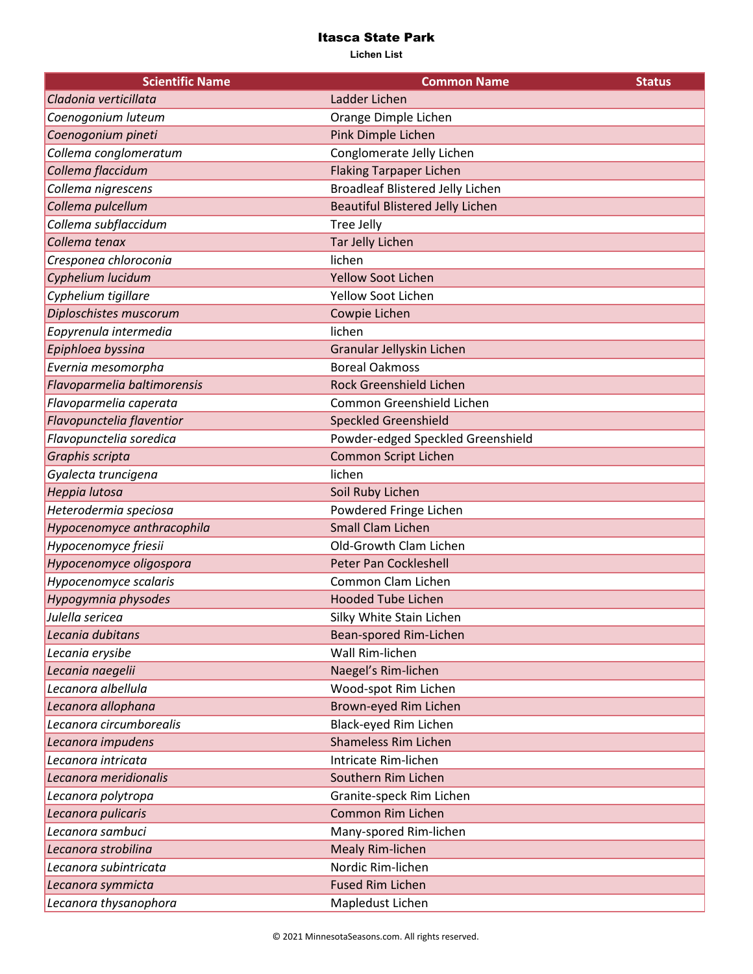| <b>Scientific Name</b>      | <b>Common Name</b>                      | <b>Status</b> |
|-----------------------------|-----------------------------------------|---------------|
| Cladonia verticillata       | Ladder Lichen                           |               |
| Coenogonium luteum          | Orange Dimple Lichen                    |               |
| Coenogonium pineti          | Pink Dimple Lichen                      |               |
| Collema conglomeratum       | Conglomerate Jelly Lichen               |               |
| Collema flaccidum           | <b>Flaking Tarpaper Lichen</b>          |               |
| Collema nigrescens          | <b>Broadleaf Blistered Jelly Lichen</b> |               |
| Collema pulcellum           | <b>Beautiful Blistered Jelly Lichen</b> |               |
| Collema subflaccidum        | Tree Jelly                              |               |
| Collema tenax               | <b>Tar Jelly Lichen</b>                 |               |
| Cresponea chloroconia       | lichen                                  |               |
| Cyphelium lucidum           | <b>Yellow Soot Lichen</b>               |               |
| Cyphelium tigillare         | Yellow Soot Lichen                      |               |
| Diploschistes muscorum      | Cowpie Lichen                           |               |
| Eopyrenula intermedia       | lichen                                  |               |
| Epiphloea byssina           | Granular Jellyskin Lichen               |               |
| Evernia mesomorpha          | <b>Boreal Oakmoss</b>                   |               |
| Flavoparmelia baltimorensis | Rock Greenshield Lichen                 |               |
| Flavoparmelia caperata      | Common Greenshield Lichen               |               |
| Flavopunctelia flaventior   | <b>Speckled Greenshield</b>             |               |
| Flavopunctelia soredica     | Powder-edged Speckled Greenshield       |               |
| Graphis scripta             | <b>Common Script Lichen</b>             |               |
| Gyalecta truncigena         | lichen                                  |               |
| Heppia lutosa               | Soil Ruby Lichen                        |               |
| Heterodermia speciosa       | Powdered Fringe Lichen                  |               |
| Hypocenomyce anthracophila  | <b>Small Clam Lichen</b>                |               |
| Hypocenomyce friesii        | Old-Growth Clam Lichen                  |               |
| Hypocenomyce oligospora     | <b>Peter Pan Cockleshell</b>            |               |
| Hypocenomyce scalaris       | Common Clam Lichen                      |               |
| Hypogymnia physodes         | <b>Hooded Tube Lichen</b>               |               |
| Julella sericea             | Silky White Stain Lichen                |               |
| Lecania dubitans            | Bean-spored Rim-Lichen                  |               |
| Lecania erysibe             | Wall Rim-lichen                         |               |
| Lecania naegelii            | Naegel's Rim-lichen                     |               |
| Lecanora albellula          | Wood-spot Rim Lichen                    |               |
| Lecanora allophana          | Brown-eyed Rim Lichen                   |               |
| Lecanora circumborealis     | Black-eyed Rim Lichen                   |               |
| Lecanora impudens           | <b>Shameless Rim Lichen</b>             |               |
| Lecanora intricata          | Intricate Rim-lichen                    |               |
| Lecanora meridionalis       | Southern Rim Lichen                     |               |
| Lecanora polytropa          | Granite-speck Rim Lichen                |               |
| Lecanora pulicaris          | Common Rim Lichen                       |               |
| Lecanora sambuci            | Many-spored Rim-lichen                  |               |
| Lecanora strobilina         | <b>Mealy Rim-lichen</b>                 |               |
| Lecanora subintricata       | Nordic Rim-lichen                       |               |
| Lecanora symmicta           | <b>Fused Rim Lichen</b>                 |               |
| Lecanora thysanophora       | Mapledust Lichen                        |               |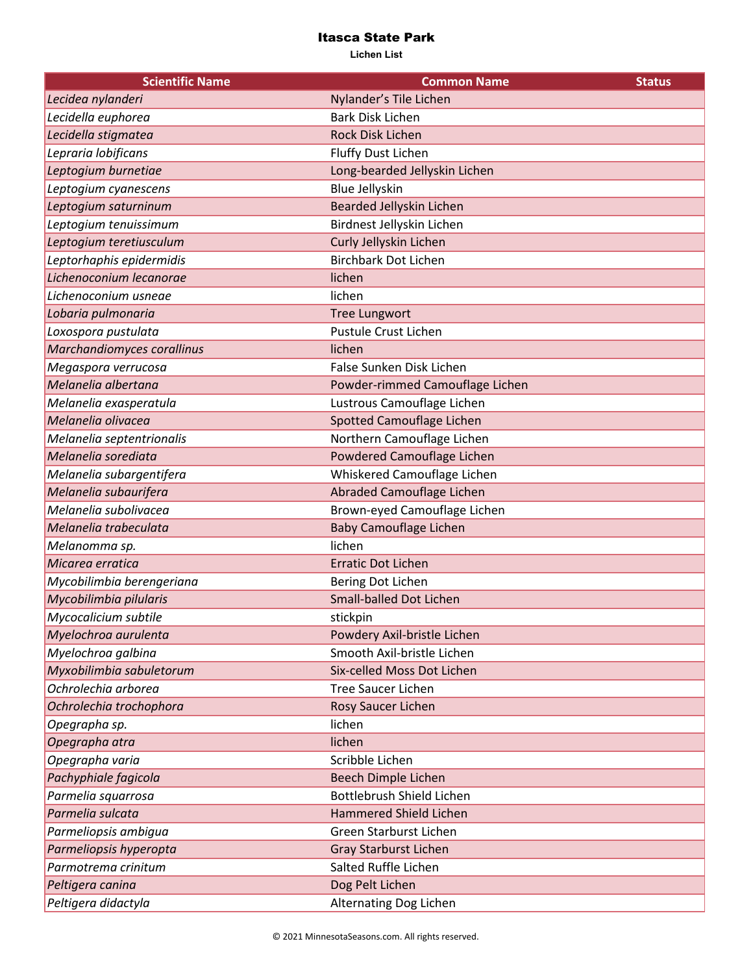| <b>Scientific Name</b>     | <b>Common Name</b>              | <b>Status</b> |
|----------------------------|---------------------------------|---------------|
| Lecidea nylanderi          | Nylander's Tile Lichen          |               |
| Lecidella euphorea         | <b>Bark Disk Lichen</b>         |               |
| Lecidella stigmatea        | <b>Rock Disk Lichen</b>         |               |
| Lepraria lobificans        | Fluffy Dust Lichen              |               |
| Leptogium burnetiae        | Long-bearded Jellyskin Lichen   |               |
| Leptogium cyanescens       | <b>Blue Jellyskin</b>           |               |
| Leptogium saturninum       | Bearded Jellyskin Lichen        |               |
| Leptogium tenuissimum      | Birdnest Jellyskin Lichen       |               |
| Leptogium teretiusculum    | Curly Jellyskin Lichen          |               |
| Leptorhaphis epidermidis   | <b>Birchbark Dot Lichen</b>     |               |
| Lichenoconium lecanorae    | lichen                          |               |
| Lichenoconium usneae       | lichen                          |               |
| Lobaria pulmonaria         | <b>Tree Lungwort</b>            |               |
| Loxospora pustulata        | Pustule Crust Lichen            |               |
| Marchandiomyces corallinus | lichen                          |               |
| Megaspora verrucosa        | False Sunken Disk Lichen        |               |
| Melanelia albertana        | Powder-rimmed Camouflage Lichen |               |
| Melanelia exasperatula     | Lustrous Camouflage Lichen      |               |
| Melanelia olivacea         | Spotted Camouflage Lichen       |               |
| Melanelia septentrionalis  | Northern Camouflage Lichen      |               |
| Melanelia sorediata        | Powdered Camouflage Lichen      |               |
| Melanelia subargentifera   | Whiskered Camouflage Lichen     |               |
| Melanelia subaurifera      | Abraded Camouflage Lichen       |               |
| Melanelia subolivacea      | Brown-eyed Camouflage Lichen    |               |
| Melanelia trabeculata      | <b>Baby Camouflage Lichen</b>   |               |
| Melanomma sp.              | lichen                          |               |
| Micarea erratica           | <b>Erratic Dot Lichen</b>       |               |
| Mycobilimbia berengeriana  | Bering Dot Lichen               |               |
| Mycobilimbia pilularis     | <b>Small-balled Dot Lichen</b>  |               |
| Mycocalicium subtile       | stickpin                        |               |
| Myelochroa aurulenta       | Powdery Axil-bristle Lichen     |               |
| Myelochroa galbina         | Smooth Axil-bristle Lichen      |               |
| Myxobilimbia sabuletorum   | Six-celled Moss Dot Lichen      |               |
| Ochrolechia arborea        | <b>Tree Saucer Lichen</b>       |               |
| Ochrolechia trochophora    | Rosy Saucer Lichen              |               |
| Opegrapha sp.              | lichen                          |               |
| Opegrapha atra             | lichen                          |               |
| Opegrapha varia            | Scribble Lichen                 |               |
| Pachyphiale fagicola       | Beech Dimple Lichen             |               |
| Parmelia squarrosa         | Bottlebrush Shield Lichen       |               |
| Parmelia sulcata           | <b>Hammered Shield Lichen</b>   |               |
| Parmeliopsis ambigua       | Green Starburst Lichen          |               |
| Parmeliopsis hyperopta     | <b>Gray Starburst Lichen</b>    |               |
| Parmotrema crinitum        | Salted Ruffle Lichen            |               |
| Peltigera canina           | Dog Pelt Lichen                 |               |
| Peltigera didactyla        | Alternating Dog Lichen          |               |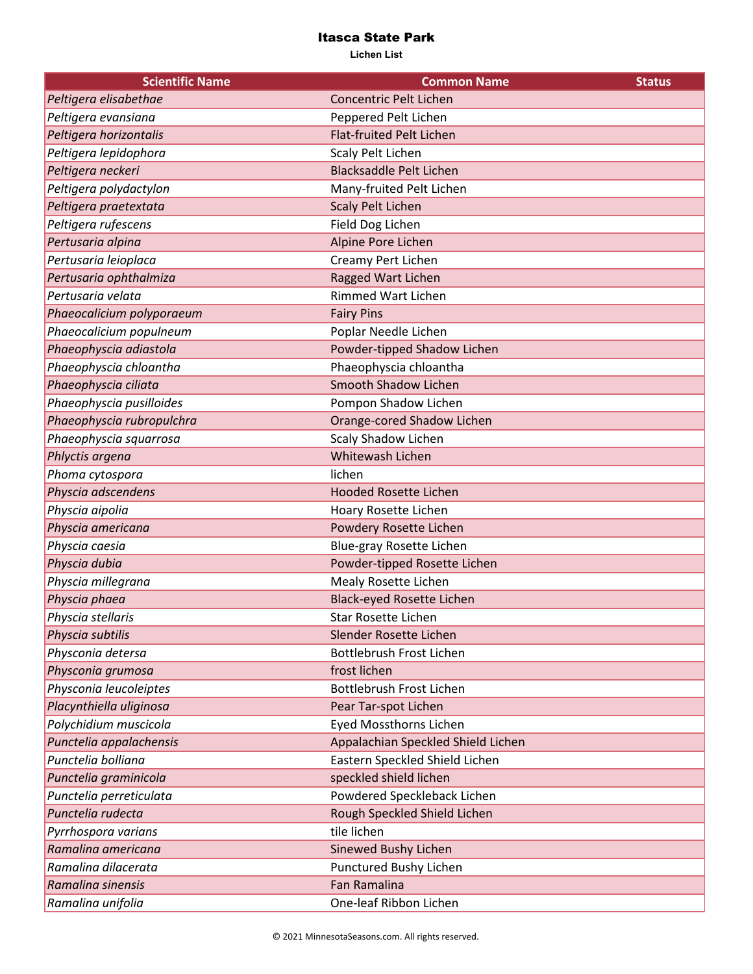| <b>Scientific Name</b>    | <b>Common Name</b>                 | <b>Status</b> |
|---------------------------|------------------------------------|---------------|
| Peltigera elisabethae     | <b>Concentric Pelt Lichen</b>      |               |
| Peltigera evansiana       | Peppered Pelt Lichen               |               |
| Peltigera horizontalis    | <b>Flat-fruited Pelt Lichen</b>    |               |
| Peltigera lepidophora     | Scaly Pelt Lichen                  |               |
| Peltigera neckeri         | <b>Blacksaddle Pelt Lichen</b>     |               |
| Peltigera polydactylon    | Many-fruited Pelt Lichen           |               |
| Peltigera praetextata     | <b>Scaly Pelt Lichen</b>           |               |
| Peltigera rufescens       | Field Dog Lichen                   |               |
| Pertusaria alpina         | Alpine Pore Lichen                 |               |
| Pertusaria leioplaca      | Creamy Pert Lichen                 |               |
| Pertusaria ophthalmiza    | Ragged Wart Lichen                 |               |
| Pertusaria velata         | <b>Rimmed Wart Lichen</b>          |               |
| Phaeocalicium polyporaeum | <b>Fairy Pins</b>                  |               |
| Phaeocalicium populneum   | Poplar Needle Lichen               |               |
| Phaeophyscia adiastola    | Powder-tipped Shadow Lichen        |               |
| Phaeophyscia chloantha    | Phaeophyscia chloantha             |               |
| Phaeophyscia ciliata      | <b>Smooth Shadow Lichen</b>        |               |
| Phaeophyscia pusilloides  | Pompon Shadow Lichen               |               |
| Phaeophyscia rubropulchra | Orange-cored Shadow Lichen         |               |
| Phaeophyscia squarrosa    | Scaly Shadow Lichen                |               |
| Phlyctis argena           | <b>Whitewash Lichen</b>            |               |
| Phoma cytospora           | lichen                             |               |
| Physcia adscendens        | <b>Hooded Rosette Lichen</b>       |               |
| Physcia aipolia           | Hoary Rosette Lichen               |               |
| Physcia americana         | Powdery Rosette Lichen             |               |
| Physcia caesia            | Blue-gray Rosette Lichen           |               |
| Physcia dubia             | Powder-tipped Rosette Lichen       |               |
| Physcia millegrana        | Mealy Rosette Lichen               |               |
| Physcia phaea             | <b>Black-eyed Rosette Lichen</b>   |               |
| Physcia stellaris         | <b>Star Rosette Lichen</b>         |               |
| Physcia subtilis          | Slender Rosette Lichen             |               |
| Physconia detersa         | Bottlebrush Frost Lichen           |               |
| Physconia grumosa         | frost lichen                       |               |
| Physconia leucoleiptes    | Bottlebrush Frost Lichen           |               |
| Placynthiella uliginosa   | Pear Tar-spot Lichen               |               |
| Polychidium muscicola     | <b>Eyed Mossthorns Lichen</b>      |               |
| Punctelia appalachensis   | Appalachian Speckled Shield Lichen |               |
| Punctelia bolliana        | Eastern Speckled Shield Lichen     |               |
| Punctelia graminicola     | speckled shield lichen             |               |
| Punctelia perreticulata   | Powdered Speckleback Lichen        |               |
| Punctelia rudecta         | Rough Speckled Shield Lichen       |               |
| Pyrrhospora varians       | tile lichen                        |               |
| Ramalina americana        | Sinewed Bushy Lichen               |               |
| Ramalina dilacerata       | Punctured Bushy Lichen             |               |
| Ramalina sinensis         | <b>Fan Ramalina</b>                |               |
| Ramalina unifolia         | One-leaf Ribbon Lichen             |               |